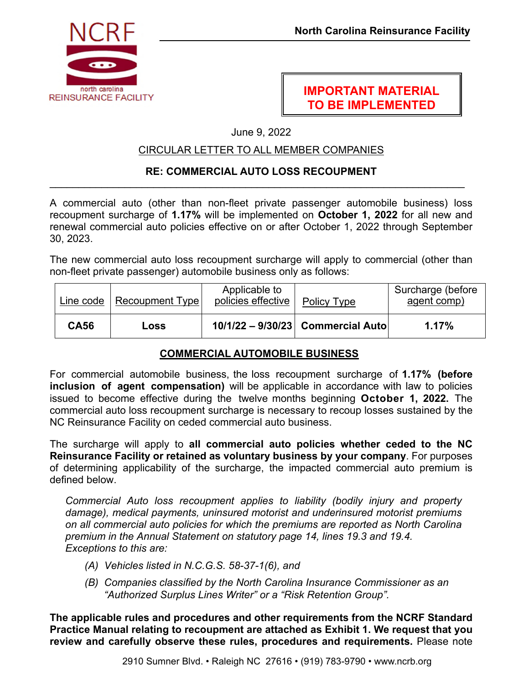

# **IMPORTANT MATERIAL TO BE IMPLEMENTED**

June 9, 2022

## CIRCULAR LETTER TO ALL MEMBER COMPANIES

#### **RE: COMMERCIAL AUTO LOSS RECOUPMENT**   $\mathcal{L}_\mathcal{L} = \mathcal{L}_\mathcal{L} = \mathcal{L}_\mathcal{L} = \mathcal{L}_\mathcal{L} = \mathcal{L}_\mathcal{L} = \mathcal{L}_\mathcal{L} = \mathcal{L}_\mathcal{L} = \mathcal{L}_\mathcal{L} = \mathcal{L}_\mathcal{L} = \mathcal{L}_\mathcal{L} = \mathcal{L}_\mathcal{L} = \mathcal{L}_\mathcal{L} = \mathcal{L}_\mathcal{L} = \mathcal{L}_\mathcal{L} = \mathcal{L}_\mathcal{L} = \mathcal{L}_\mathcal{L} = \mathcal{L}_\mathcal{L}$

A commercial auto (other than non-fleet private passenger automobile business) loss recoupment surcharge of **1.17%** will be implemented on **October 1, 2022** for all new and renewal commercial auto policies effective on or after October 1, 2022 through September 30, 2023.

The new commercial auto loss recoupment surcharge will apply to commercial (other than non-fleet private passenger) automobile business only as follows:

| Line code   | Recoupment Type | Applicable to<br>policies effective | Policy Type                       | Surcharge (before<br>agent comp) |
|-------------|-----------------|-------------------------------------|-----------------------------------|----------------------------------|
| <b>CA56</b> | Loss            |                                     | 10/1/22 - 9/30/23 Commercial Auto | 1.17%                            |

## **COMMERCIAL AUTOMOBILE BUSINESS**

For commercial automobile business, the loss recoupment surcharge of **1.17% (before inclusion of agent compensation)** will be applicable in accordance with law to policies issued to become effective during the twelve months beginning **October 1, 2022.** The commercial auto loss recoupment surcharge is necessary to recoup losses sustained by the NC Reinsurance Facility on ceded commercial auto business.

The surcharge will apply to **all commercial auto policies whether ceded to the NC Reinsurance Facility or retained as voluntary business by your company**. For purposes of determining applicability of the surcharge, the impacted commercial auto premium is defined below.

*Commercial Auto loss recoupment applies to liability (bodily injury and property damage), medical payments, uninsured motorist and underinsured motorist premiums on all commercial auto policies for which the premiums are reported as North Carolina premium in the Annual Statement on statutory page 14, lines 19.3 and 19.4. Exceptions to this are:* 

- *(A) Vehicles listed in N.C.G.S. 58-37-1(6), and*
- *(B) Companies classified by the North Carolina Insurance Commissioner as an "Authorized Surplus Lines Writer" or a "Risk Retention Group".*

**The applicable rules and procedures and other requirements from the NCRF Standard Practice Manual relating to recoupment are attached as Exhibit 1. We request that you review and carefully observe these rules, procedures and requirements.** Please note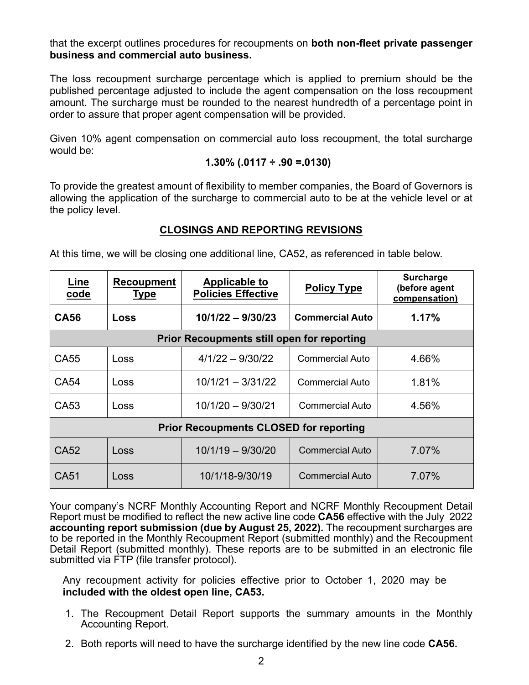that the excerpt outlines procedures for recoupments on **both non-fleet private passenger business and commercial auto business.** 

The loss recoupment surcharge percentage which is applied to premium should be the published percentage adjusted to include the agent compensation on the loss recoupment amount. The surcharge must be rounded to the nearest hundredth of a percentage point in order to assure that proper agent compensation will be provided.

Given 10% agent compensation on commercial auto loss recoupment, the total surcharge would be:

$$
1.30\% (.0117 \div .90 = .0130)
$$

To provide the greatest amount of flexibility to member companies, the Board of Governors is allowing the application of the surcharge to commercial auto to be at the vehicle level or at the policy level.

## **CLOSINGS AND REPORTING REVISIONS**

At this time, we will be closing one additional line, CA52, as referenced in table below.

| Line<br><u>code</u>                               | <b>Recoupment</b><br><b>Type</b> | <b>Applicable to</b><br><b>Policies Effective</b> | <b>Policy Type</b>     | <b>Surcharge</b><br>(before agent<br>compensation) |  |  |  |
|---------------------------------------------------|----------------------------------|---------------------------------------------------|------------------------|----------------------------------------------------|--|--|--|
| <b>CA56</b>                                       | Loss                             | $10/1/22 - 9/30/23$                               | <b>Commercial Auto</b> | 1.17%                                              |  |  |  |
| <b>Prior Recoupments still open for reporting</b> |                                  |                                                   |                        |                                                    |  |  |  |
| CA55                                              | Loss                             | $4/1/22 - 9/30/22$                                | <b>Commercial Auto</b> | 4.66%                                              |  |  |  |
| CA54                                              | Loss                             | $10/1/21 - 3/31/22$                               | <b>Commercial Auto</b> | 1.81%                                              |  |  |  |
| CA53                                              | Loss                             | $10/1/20 - 9/30/21$                               | Commercial Auto        | 4.56%                                              |  |  |  |
| <b>Prior Recoupments CLOSED for reporting</b>     |                                  |                                                   |                        |                                                    |  |  |  |
| CA52                                              | Loss                             | $10/1/19 - 9/30/20$                               | <b>Commercial Auto</b> | 7.07%                                              |  |  |  |
| CA51                                              | Loss                             | 10/1/18-9/30/19                                   | <b>Commercial Auto</b> | 7.07%                                              |  |  |  |

Your company's NCRF Monthly Accounting Report and NCRF Monthly Recoupment Detail Report must be modified to reflect the new active line code **CA56** effective with the July 2022 **accounting report submission (due by August 25, 2022).** The recoupment surcharges are to be reported in the Monthly Recoupment Report (submitted monthly) and the Recoupment Detail Report (submitted monthly). These reports are to be submitted in an electronic file submitted via FTP (file transfer protocol).

Any recoupment activity for policies effective prior to October 1, 2020 may be **included with the oldest open line, CA53.** 

- 1. The Recoupment Detail Report supports the summary amounts in the Monthly Accounting Report.
- 2. Both reports will need to have the surcharge identified by the new line code **CA56.**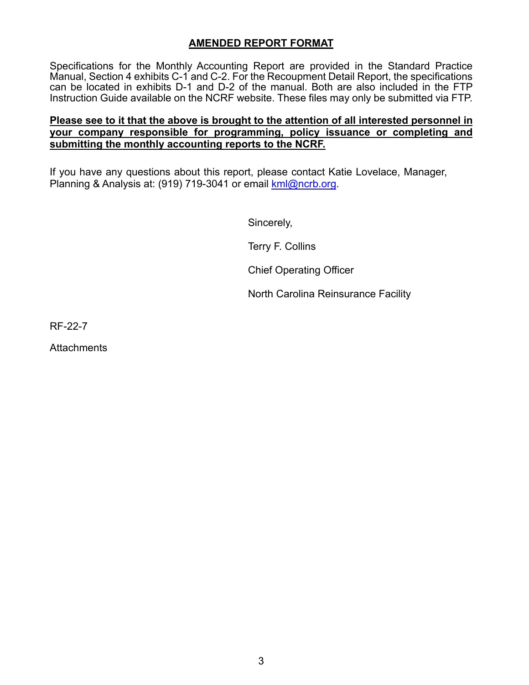### **AMENDED REPORT FORMAT**

Specifications for the Monthly Accounting Report are provided in the Standard Practice Manual, Section 4 exhibits C-1 and C-2. For the Recoupment Detail Report, the specifications can be located in exhibits D-1 and D-2 of the manual. Both are also included in the FTP Instruction Guide available on the NCRF website. These files may only be submitted via FTP.

### **Please see to it that the above is brought to the attention of all interested personnel in your company responsible for programming, policy issuance or completing and submitting the monthly accounting reports to the NCRF.**

If you have any questions about this report, please contact Katie Lovelace, Manager, Planning & Analysis at: (919) 719-3041 or email kml@ncrb.org.

Sincerely,

Terry F. Collins

Chief Operating Officer

North Carolina Reinsurance Facility

RF-22-7

**Attachments**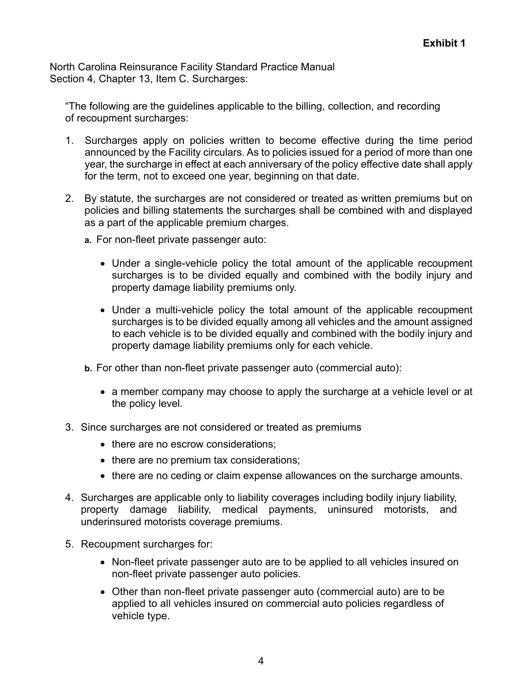North Carolina Reinsurance Facility Standard Practice Manual Section 4, Chapter 13, Item C. Surcharges:

"The following are the guidelines applicable to the billing, collection, and recording of recoupment surcharges:

- 1. Surcharges apply on policies written to become effective during the time period announced by the Facility circulars. As to policies issued for a period of more than one year, the surcharge in effect at each anniversary of the policy effective date shall apply for the term, not to exceed one year, beginning on that date.
- 2. By statute, the surcharges are not considered or treated as written premiums but on policies and billing statements the surcharges shall be combined with and displayed as a part of the applicable premium charges.
	- **a.** For non-fleet private passenger auto:
		- Under a single-vehicle policy the total amount of the applicable recoupment surcharges is to be divided equally and combined with the bodily injury and property damage liability premiums only.
		- Under a multi-vehicle policy the total amount of the applicable recoupment surcharges is to be divided equally among all vehicles and the amount assigned to each vehicle is to be divided equally and combined with the bodily injury and property damage liability premiums only for each vehicle.
	- **b.** For other than non-fleet private passenger auto (commercial auto):
		- a member company may choose to apply the surcharge at a vehicle level or at the policy level.
- 3. Since surcharges are not considered or treated as premiums
	- there are no escrow considerations:
	- there are no premium tax considerations;
	- there are no ceding or claim expense allowances on the surcharge amounts.
- 4. Surcharges are applicable only to liability coverages including bodily injury liability, property damage liability, medical payments, uninsured motorists, and underinsured motorists coverage premiums.
- 5. Recoupment surcharges for:
	- Non-fleet private passenger auto are to be applied to all vehicles insured on non-fleet private passenger auto policies.
	- Other than non-fleet private passenger auto (commercial auto) are to be applied to all vehicles insured on commercial auto policies regardless of vehicle type.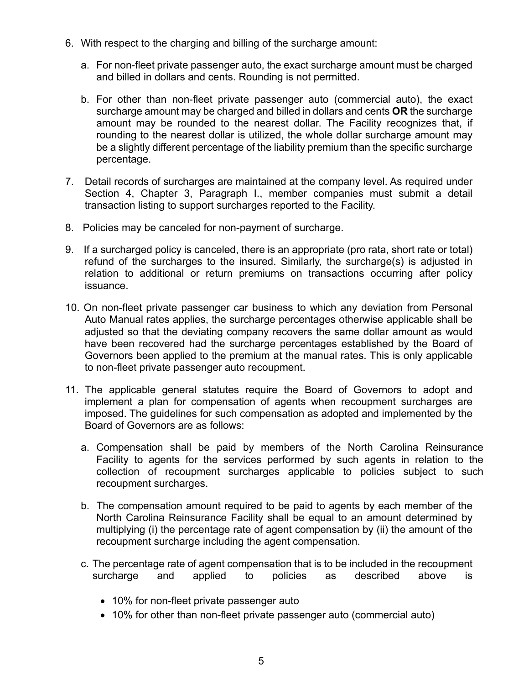- 6. With respect to the charging and billing of the surcharge amount:
	- a. For non-fleet private passenger auto, the exact surcharge amount must be charged and billed in dollars and cents. Rounding is not permitted.
	- b. For other than non-fleet private passenger auto (commercial auto), the exact surcharge amount may be charged and billed in dollars and cents **OR** the surcharge amount may be rounded to the nearest dollar. The Facility recognizes that, if rounding to the nearest dollar is utilized, the whole dollar surcharge amount may be a slightly different percentage of the liability premium than the specific surcharge percentage.
- 7. Detail records of surcharges are maintained at the company level. As required under Section 4, Chapter 3, Paragraph I., member companies must submit a detail transaction listing to support surcharges reported to the Facility.
- 8. Policies may be canceled for non-payment of surcharge.
- 9. If a surcharged policy is canceled, there is an appropriate (pro rata, short rate or total) refund of the surcharges to the insured. Similarly, the surcharge(s) is adjusted in relation to additional or return premiums on transactions occurring after policy issuance.
- 10. On non-fleet private passenger car business to which any deviation from Personal Auto Manual rates applies, the surcharge percentages otherwise applicable shall be adjusted so that the deviating company recovers the same dollar amount as would have been recovered had the surcharge percentages established by the Board of Governors been applied to the premium at the manual rates. This is only applicable to non-fleet private passenger auto recoupment.
- 11. The applicable general statutes require the Board of Governors to adopt and implement a plan for compensation of agents when recoupment surcharges are imposed. The guidelines for such compensation as adopted and implemented by the Board of Governors are as follows:
	- a. Compensation shall be paid by members of the North Carolina Reinsurance Facility to agents for the services performed by such agents in relation to the collection of recoupment surcharges applicable to policies subject to such recoupment surcharges.
	- b. The compensation amount required to be paid to agents by each member of the North Carolina Reinsurance Facility shall be equal to an amount determined by multiplying (i) the percentage rate of agent compensation by (ii) the amount of the recoupment surcharge including the agent compensation.
	- c. The percentage rate of agent compensation that is to be included in the recoupment surcharge and applied to policies as described above is
		- 10% for non-fleet private passenger auto
		- 10% for other than non-fleet private passenger auto (commercial auto)